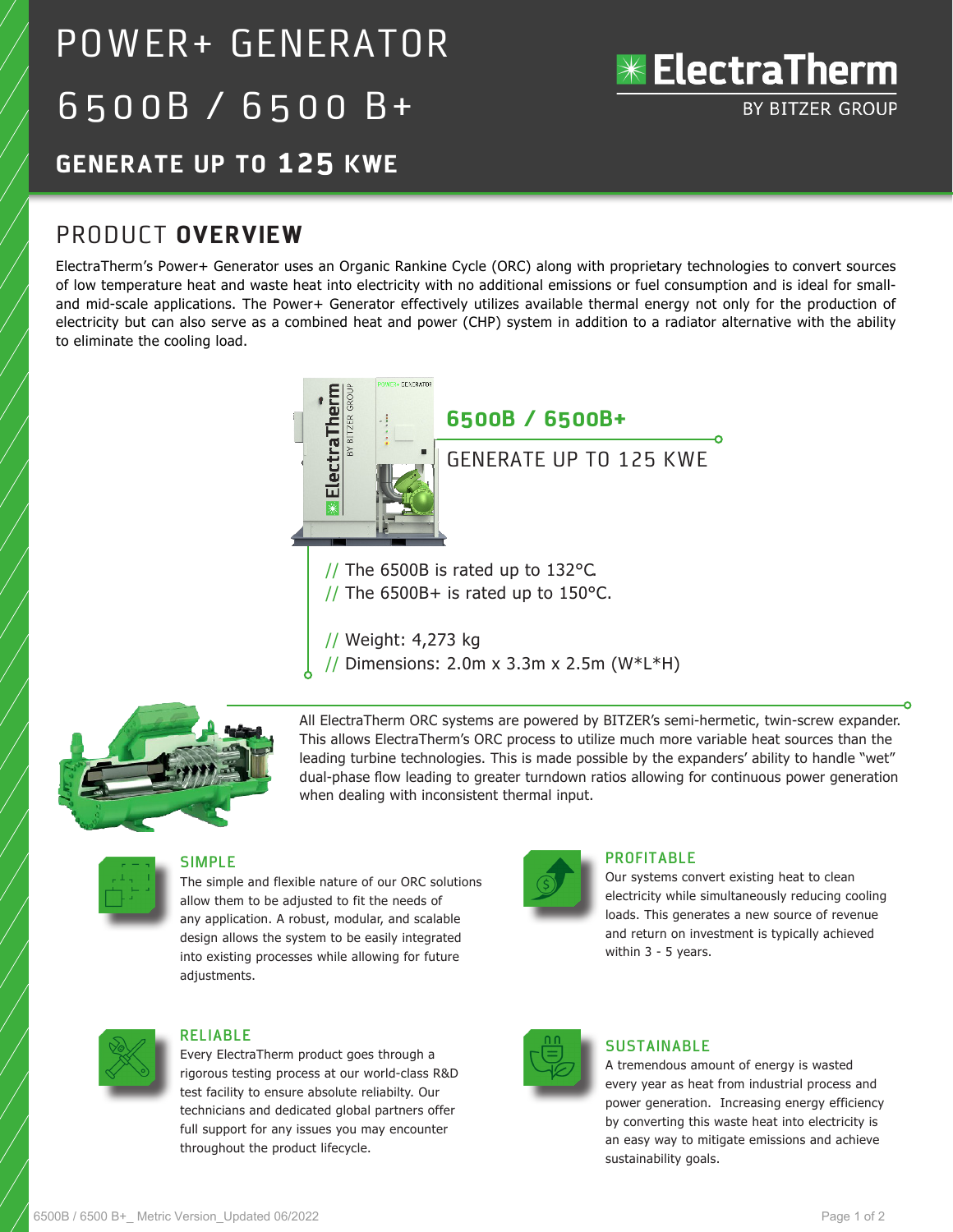# POWER+ GENERATOR 6500B / 6500 B+



# **GENERATE UP TO 125 KWE**

# PRODUCT **OVERVIEW**

ElectraTherm's Power+ Generator uses an Organic Rankine Cycle (ORC) along with proprietary technologies to convert sources of low temperature heat and waste heat into electricity with no additional emissions or fuel consumption and is ideal for smalland mid-scale applications. The Power+ Generator effectively utilizes available thermal energy not only for the production of electricity but can also serve as a combined heat and power (CHP) system in addition to a radiator alternative with the ability to eliminate the cooling load.



// Weight: 4,273 kg

// Dimensions: 2.0m x 3.3m x 2.5m (W\*L\*H)



All ElectraTherm ORC systems are powered by BITZER's semi-hermetic, twin-screw expander. This allows ElectraTherm's ORC process to utilize much more variable heat sources than the leading turbine technologies. This is made possible by the expanders' ability to handle "wet" dual-phase flow leading to greater turndown ratios allowing for continuous power generation when dealing with inconsistent thermal input.



#### **SIMPLE**

The simple and flexible nature of our ORC solutions allow them to be adjusted to fit the needs of any application. A robust, modular, and scalable design allows the system to be easily integrated into existing processes while allowing for future adjustments.



#### **PROFITABLE**

Our systems convert existing heat to clean electricity while simultaneously reducing cooling loads. This generates a new source of revenue and return on investment is typically achieved within 3 - 5 years.



#### **RELIABLE**

Every ElectraTherm product goes through a rigorous testing process at our world-class R&D test facility to ensure absolute reliabilty. Our technicians and dedicated global partners offer full support for any issues you may encounter throughout the product lifecycle.



#### **SUSTAINABLE**

A tremendous amount of energy is wasted every year as heat from industrial process and power generation. Increasing energy efficiency by converting this waste heat into electricity is an easy way to mitigate emissions and achieve sustainability goals.